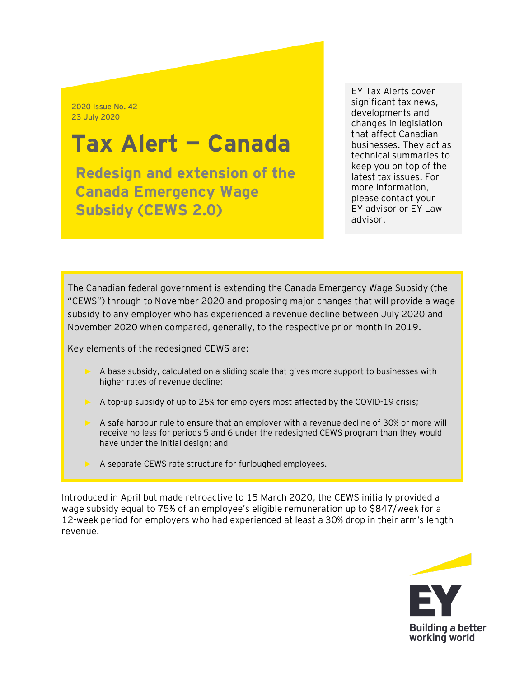2020 Issue No. 42 23 July 2020

# **Tax Alert — Canada**

**Redesign and extension of the Canada Emergency Wage Subsidy (CEWS 2.0)**

EY Tax Alerts cover significant tax news, developments and changes in legislation that affect Canadian businesses. They act as technical summaries to keep you on top of the latest tax issues. For more information, please contact your EY advisor or EY Law advisor.

The Canadian federal government is extending the Canada Emergency Wage Subsidy (the "CEWS") through to November 2020 and proposing major changes that will provide a wage subsidy to any employer who has experienced a revenue decline between July 2020 and November 2020 when compared, generally, to the respective prior month in 2019.

Key elements of the redesigned CEWS are:

- ► A base subsidy, calculated on a sliding scale that gives more support to businesses with higher rates of revenue decline;
- ► A top-up subsidy of up to 25% for employers most affected by the COVID-19 crisis;
- ► A safe harbour rule to ensure that an employer with a revenue decline of 30% or more will receive no less for periods 5 and 6 under the redesigned CEWS program than they would have under the initial design; and
- ► A separate CEWS rate structure for furloughed employees.

Introduced in April but made retroactive to 15 March 2020, the CEWS initially provided a wage subsidy equal to 75% of an employee's eligible remuneration up to \$847/week for a 12-week period for employers who had experienced at least a 30% drop in their arm's length revenue.

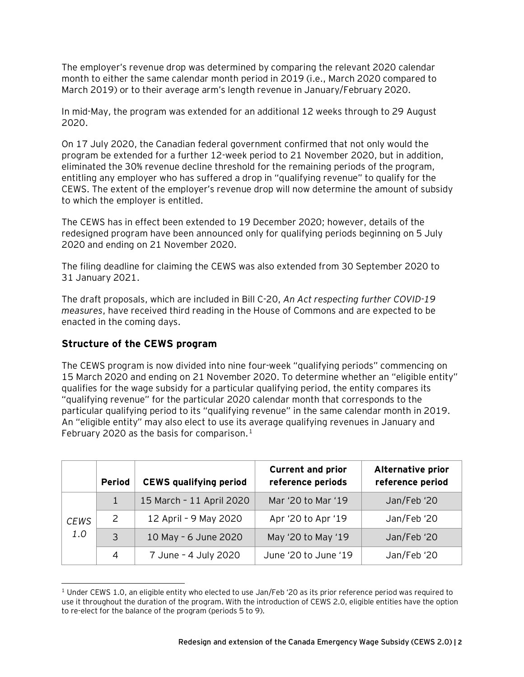The employer's revenue drop was determined by comparing the relevant 2020 calendar month to either the same calendar month period in 2019 (i.e., March 2020 compared to March 2019) or to their average arm's length revenue in January/February 2020.

In mid-May, the program was extended for an additional 12 weeks through to 29 August 2020.

On 17 July 2020, the Canadian federal government confirmed that not only would the program be extended for a further 12-week period to 21 November 2020, but in addition, eliminated the 30% revenue decline threshold for the remaining periods of the program, entitling any employer who has suffered a drop in "qualifying revenue" to qualify for the CEWS. The extent of the employer's revenue drop will now determine the amount of subsidy to which the employer is entitled.

The CEWS has in effect been extended to 19 December 2020; however, details of the redesigned program have been announced only for qualifying periods beginning on 5 July 2020 and ending on 21 November 2020.

The filing deadline for claiming the CEWS was also extended from 30 September 2020 to 31 January 2021.

The draft proposals, which are included in Bill C-20, *An Act respecting further COVID-19 measures*, have received third reading in the House of Commons and are expected to be enacted in the coming days.

## **Structure of the CEWS program**

The CEWS program is now divided into nine four-week "qualifying periods" commencing on 15 March 2020 and ending on 21 November 2020. To determine whether an "eligible entity" qualifies for the wage subsidy for a particular qualifying period, the entity compares its "qualifying revenue" for the particular 2020 calendar month that corresponds to the particular qualifying period to its "qualifying revenue" in the same calendar month in 2019. An "eligible entity" may also elect to use its average qualifying revenues in January and February 2020 as the basis for comparison.<sup>[1](#page-1-0)</sup>

|                    | <b>Period</b> | <b>CEWS qualifying period</b> | <b>Current and prior</b><br>reference periods | Alternative prior<br>reference period |
|--------------------|---------------|-------------------------------|-----------------------------------------------|---------------------------------------|
| <b>CEWS</b><br>1.0 | $\mathbf{1}$  | 15 March - 11 April 2020      | Mar '20 to Mar '19                            | Jan/Feb '20                           |
|                    | 2             | 12 April - 9 May 2020         | Apr '20 to Apr '19                            | Jan/Feb '20                           |
|                    | 3             | 10 May - 6 June 2020          | May '20 to May '19                            | Jan/Feb '20                           |
|                    | 4             | 7 June - 4 July 2020          | June '20 to June '19                          | Jan/Feb '20                           |

<span id="page-1-0"></span> $1$  Under CEWS 1.0, an eligible entity who elected to use Jan/Feb '20 as its prior reference period was required to use it throughout the duration of the program. With the introduction of CEWS 2.0, eligible entities have the option to re-elect for the balance of the program (periods 5 to 9).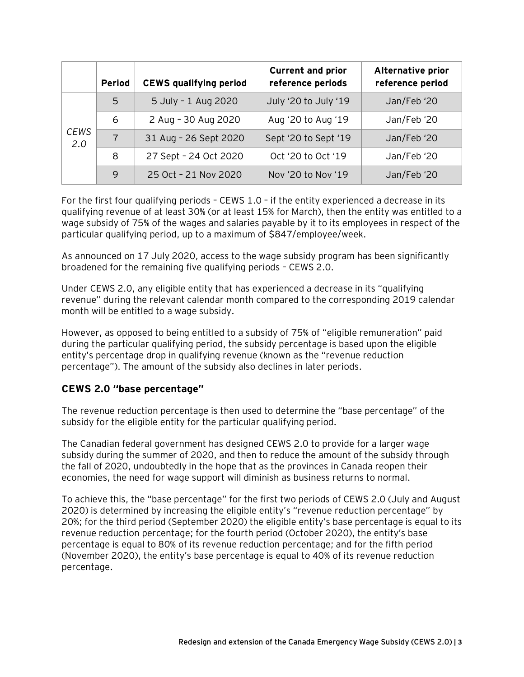|                    | <b>Period</b>  | <b>CEWS qualifying period</b> | <b>Current and prior</b><br>reference periods | Alternative prior<br>reference period |
|--------------------|----------------|-------------------------------|-----------------------------------------------|---------------------------------------|
| <b>CEWS</b><br>2.0 | 5              | 5 July - 1 Aug 2020           | July '20 to July '19                          | Jan/Feb '20                           |
|                    | 6              | 2 Aug - 30 Aug 2020           | Aug '20 to Aug '19                            | Jan/Feb '20                           |
|                    | $\overline{7}$ | 31 Aug - 26 Sept 2020         | Sept '20 to Sept '19                          | Jan/Feb '20                           |
|                    | 8              | 27 Sept - 24 Oct 2020         | Oct '20 to Oct '19                            | Jan/Feb '20                           |
|                    | 9              | 25 Oct - 21 Nov 2020          | Nov '20 to Nov '19                            | Jan/Feb '20                           |

For the first four qualifying periods – CEWS 1.0 – if the entity experienced a decrease in its qualifying revenue of at least 30% (or at least 15% for March), then the entity was entitled to a wage subsidy of 75% of the wages and salaries payable by it to its employees in respect of the particular qualifying period, up to a maximum of \$847/employee/week.

As announced on 17 July 2020, access to the wage subsidy program has been significantly broadened for the remaining five qualifying periods – CEWS 2.0.

Under CEWS 2.0, any eligible entity that has experienced a decrease in its "qualifying revenue" during the relevant calendar month compared to the corresponding 2019 calendar month will be entitled to a wage subsidy.

However, as opposed to being entitled to a subsidy of 75% of "eligible remuneration" paid during the particular qualifying period, the subsidy percentage is based upon the eligible entity's percentage drop in qualifying revenue (known as the "revenue reduction percentage"). The amount of the subsidy also declines in later periods.

## **CEWS 2.0 "base percentage"**

The revenue reduction percentage is then used to determine the "base percentage" of the subsidy for the eligible entity for the particular qualifying period.

The Canadian federal government has designed CEWS 2.0 to provide for a larger wage subsidy during the summer of 2020, and then to reduce the amount of the subsidy through the fall of 2020, undoubtedly in the hope that as the provinces in Canada reopen their economies, the need for wage support will diminish as business returns to normal.

To achieve this, the "base percentage" for the first two periods of CEWS 2.0 (July and August 2020) is determined by increasing the eligible entity's "revenue reduction percentage" by 20%; for the third period (September 2020) the eligible entity's base percentage is equal to its revenue reduction percentage; for the fourth period (October 2020), the entity's base percentage is equal to 80% of its revenue reduction percentage; and for the fifth period (November 2020), the entity's base percentage is equal to 40% of its revenue reduction percentage.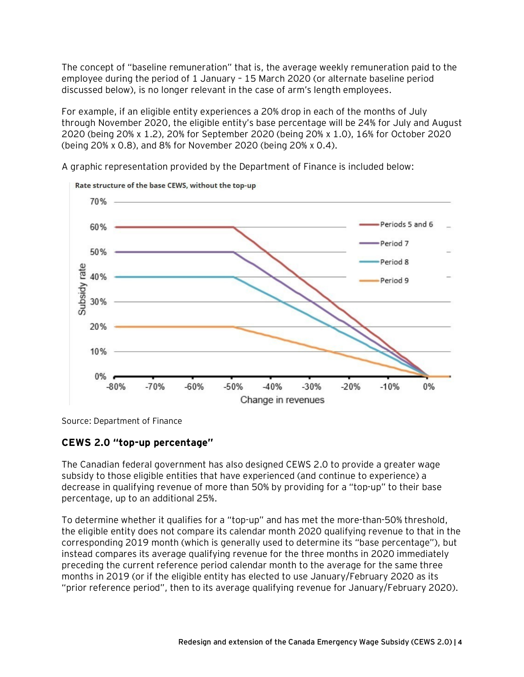The concept of "baseline remuneration" that is, the average weekly remuneration paid to the employee during the period of 1 January – 15 March 2020 (or alternate baseline period discussed below), is no longer relevant in the case of arm's length employees.

For example, if an eligible entity experiences a 20% drop in each of the months of July through November 2020, the eligible entity's base percentage will be 24% for July and August 2020 (being 20% x 1.2), 20% for September 2020 (being 20% x 1.0), 16% for October 2020 (being 20% x 0.8), and 8% for November 2020 (being 20% x 0.4).



A graphic representation provided by the Department of Finance is included below:

Source: Department of Finance

## **CEWS 2.0 "top-up percentage"**

The Canadian federal government has also designed CEWS 2.0 to provide a greater wage subsidy to those eligible entities that have experienced (and continue to experience) a decrease in qualifying revenue of more than 50% by providing for a "top-up" to their base percentage, up to an additional 25%.

To determine whether it qualifies for a "top-up" and has met the more-than-50% threshold, the eligible entity does not compare its calendar month 2020 qualifying revenue to that in the corresponding 2019 month (which is generally used to determine its "base percentage"), but instead compares its average qualifying revenue for the three months in 2020 immediately preceding the current reference period calendar month to the average for the same three months in 2019 (or if the eligible entity has elected to use January/February 2020 as its "prior reference period", then to its average qualifying revenue for January/February 2020).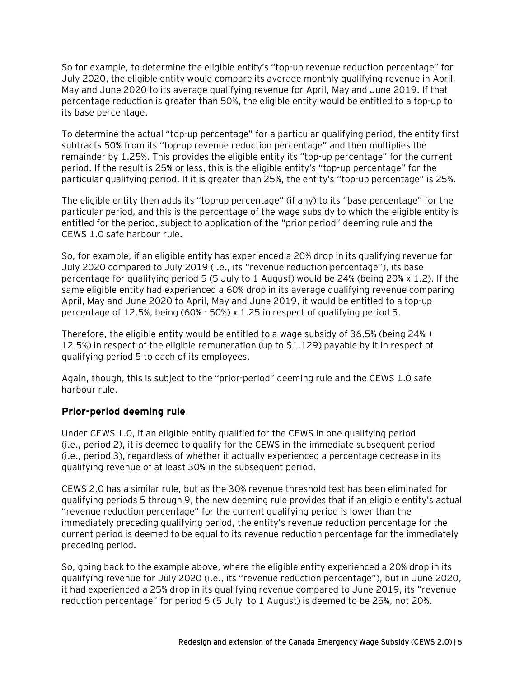So for example, to determine the eligible entity's "top-up revenue reduction percentage" for July 2020, the eligible entity would compare its average monthly qualifying revenue in April, May and June 2020 to its average qualifying revenue for April, May and June 2019. If that percentage reduction is greater than 50%, the eligible entity would be entitled to a top-up to its base percentage.

To determine the actual "top-up percentage" for a particular qualifying period, the entity first subtracts 50% from its "top-up revenue reduction percentage" and then multiplies the remainder by 1.25%. This provides the eligible entity its "top-up percentage" for the current period. If the result is 25% or less, this is the eligible entity's "top-up percentage" for the particular qualifying period. If it is greater than 25%, the entity's "top-up percentage" is 25%.

The eligible entity then adds its "top-up percentage" (if any) to its "base percentage" for the particular period, and this is the percentage of the wage subsidy to which the eligible entity is entitled for the period, subject to application of the "prior period" deeming rule and the CEWS 1.0 safe harbour rule.

So, for example, if an eligible entity has experienced a 20% drop in its qualifying revenue for July 2020 compared to July 2019 (i.e., its "revenue reduction percentage"), its base percentage for qualifying period 5 (5 July to 1 August) would be 24% (being 20% x 1.2). If the same eligible entity had experienced a 60% drop in its average qualifying revenue comparing April, May and June 2020 to April, May and June 2019, it would be entitled to a top-up percentage of 12.5%, being (60% - 50%) x 1.25 in respect of qualifying period 5.

Therefore, the eligible entity would be entitled to a wage subsidy of 36.5% (being 24% + 12.5%) in respect of the eligible remuneration (up to \$1,129) payable by it in respect of qualifying period 5 to each of its employees.

Again, though, this is subject to the "prior-period" deeming rule and the CEWS 1.0 safe harbour rule.

## **Prior-period deeming rule**

Under CEWS 1.0, if an eligible entity qualified for the CEWS in one qualifying period (i.e., period 2), it is deemed to qualify for the CEWS in the immediate subsequent period (i.e., period 3), regardless of whether it actually experienced a percentage decrease in its qualifying revenue of at least 30% in the subsequent period.

CEWS 2.0 has a similar rule, but as the 30% revenue threshold test has been eliminated for qualifying periods 5 through 9, the new deeming rule provides that if an eligible entity's actual "revenue reduction percentage" for the current qualifying period is lower than the immediately preceding qualifying period, the entity's revenue reduction percentage for the current period is deemed to be equal to its revenue reduction percentage for the immediately preceding period.

So, going back to the example above, where the eligible entity experienced a 20% drop in its qualifying revenue for July 2020 (i.e., its "revenue reduction percentage"), but in June 2020, it had experienced a 25% drop in its qualifying revenue compared to June 2019, its "revenue reduction percentage" for period 5 (5 July to 1 August) is deemed to be 25%, not 20%.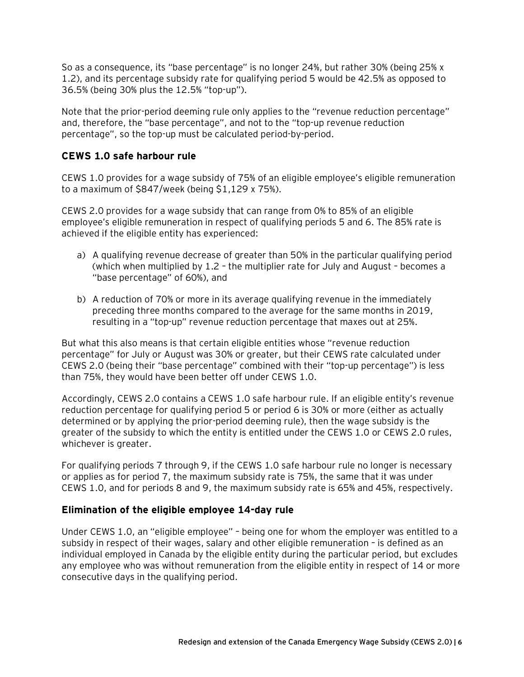So as a consequence, its "base percentage" is no longer 24%, but rather 30% (being 25% x 1.2), and its percentage subsidy rate for qualifying period 5 would be 42.5% as opposed to 36.5% (being 30% plus the 12.5% "top-up").

Note that the prior-period deeming rule only applies to the "revenue reduction percentage" and, therefore, the "base percentage", and not to the "top-up revenue reduction percentage", so the top-up must be calculated period-by-period.

#### **CEWS 1.0 safe harbour rule**

CEWS 1.0 provides for a wage subsidy of 75% of an eligible employee's eligible remuneration to a maximum of \$847/week (being \$1,129 x 75%).

CEWS 2.0 provides for a wage subsidy that can range from 0% to 85% of an eligible employee's eligible remuneration in respect of qualifying periods 5 and 6. The 85% rate is achieved if the eligible entity has experienced:

- a) A qualifying revenue decrease of greater than 50% in the particular qualifying period (which when multiplied by 1.2 – the multiplier rate for July and August – becomes a "base percentage" of 60%), and
- b) A reduction of 70% or more in its average qualifying revenue in the immediately preceding three months compared to the average for the same months in 2019, resulting in a "top-up" revenue reduction percentage that maxes out at 25%.

But what this also means is that certain eligible entities whose "revenue reduction percentage" for July or August was 30% or greater, but their CEWS rate calculated under CEWS 2.0 (being their "base percentage" combined with their "top-up percentage") is less than 75%, they would have been better off under CEWS 1.0.

Accordingly, CEWS 2.0 contains a CEWS 1.0 safe harbour rule. If an eligible entity's revenue reduction percentage for qualifying period 5 or period 6 is 30% or more (either as actually determined or by applying the prior-period deeming rule), then the wage subsidy is the greater of the subsidy to which the entity is entitled under the CEWS 1.0 or CEWS 2.0 rules, whichever is greater.

For qualifying periods 7 through 9, if the CEWS 1.0 safe harbour rule no longer is necessary or applies as for period 7, the maximum subsidy rate is 75%, the same that it was under CEWS 1.0, and for periods 8 and 9, the maximum subsidy rate is 65% and 45%, respectively.

#### **Elimination of the eligible employee 14-day rule**

Under CEWS 1.0, an "eligible employee" – being one for whom the employer was entitled to a subsidy in respect of their wages, salary and other eligible remuneration – is defined as an individual employed in Canada by the eligible entity during the particular period, but excludes any employee who was without remuneration from the eligible entity in respect of 14 or more consecutive days in the qualifying period.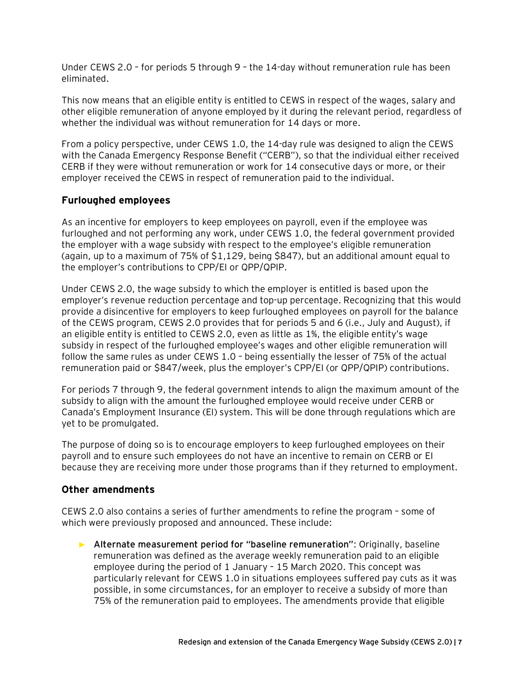Under CEWS 2.0 – for periods 5 through 9 – the 14-day without remuneration rule has been eliminated.

This now means that an eligible entity is entitled to CEWS in respect of the wages, salary and other eligible remuneration of anyone employed by it during the relevant period, regardless of whether the individual was without remuneration for 14 days or more.

From a policy perspective, under CEWS 1.0, the 14-day rule was designed to align the CEWS with the Canada Emergency Response Benefit ("CERB"), so that the individual either received CERB if they were without remuneration or work for 14 consecutive days or more, or their employer received the CEWS in respect of remuneration paid to the individual.

## **Furloughed employees**

As an incentive for employers to keep employees on payroll, even if the employee was furloughed and not performing any work, under CEWS 1.0, the federal government provided the employer with a wage subsidy with respect to the employee's eligible remuneration (again, up to a maximum of 75% of \$1,129, being \$847), but an additional amount equal to the employer's contributions to CPP/EI or QPP/QPIP.

Under CEWS 2.0, the wage subsidy to which the employer is entitled is based upon the employer's revenue reduction percentage and top-up percentage. Recognizing that this would provide a disincentive for employers to keep furloughed employees on payroll for the balance of the CEWS program, CEWS 2.0 provides that for periods 5 and 6 (i.e., July and August), if an eligible entity is entitled to CEWS 2.0, even as little as 1%, the eligible entity's wage subsidy in respect of the furloughed employee's wages and other eligible remuneration will follow the same rules as under CEWS 1.0 – being essentially the lesser of 75% of the actual remuneration paid or \$847/week, plus the employer's CPP/EI (or QPP/QPIP) contributions.

For periods 7 through 9, the federal government intends to align the maximum amount of the subsidy to align with the amount the furloughed employee would receive under CERB or Canada's Employment Insurance (EI) system. This will be done through regulations which are yet to be promulgated.

The purpose of doing so is to encourage employers to keep furloughed employees on their payroll and to ensure such employees do not have an incentive to remain on CERB or EI because they are receiving more under those programs than if they returned to employment.

#### **Other amendments**

CEWS 2.0 also contains a series of further amendments to refine the program – some of which were previously proposed and announced. These include:

► **Alternate measurement period for "baseline remuneration"**: Originally, baseline remuneration was defined as the average weekly remuneration paid to an eligible employee during the period of 1 January – 15 March 2020. This concept was particularly relevant for CEWS 1.0 in situations employees suffered pay cuts as it was possible, in some circumstances, for an employer to receive a subsidy of more than 75% of the remuneration paid to employees. The amendments provide that eligible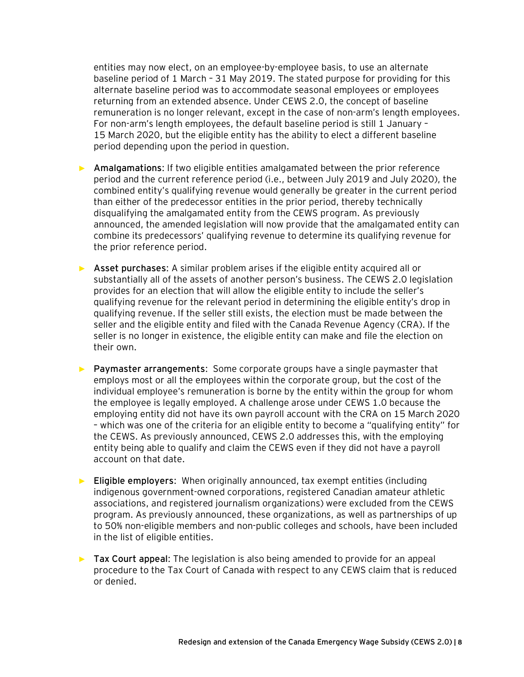entities may now elect, on an employee-by-employee basis, to use an alternate baseline period of 1 March – 31 May 2019. The stated purpose for providing for this alternate baseline period was to accommodate seasonal employees or employees returning from an extended absence. Under CEWS 2.0, the concept of baseline remuneration is no longer relevant, except in the case of non-arm's length employees. For non-arm's length employees, the default baseline period is still 1 January – 15 March 2020, but the eligible entity has the ability to elect a different baseline period depending upon the period in question.

- ► **Amalgamations**: If two eligible entities amalgamated between the prior reference period and the current reference period (i.e., between July 2019 and July 2020), the combined entity's qualifying revenue would generally be greater in the current period than either of the predecessor entities in the prior period, thereby technically disqualifying the amalgamated entity from the CEWS program. As previously announced, the amended legislation will now provide that the amalgamated entity can combine its predecessors' qualifying revenue to determine its qualifying revenue for the prior reference period.
- ► **Asset purchases**: A similar problem arises if the eligible entity acquired all or substantially all of the assets of another person's business. The CEWS 2.0 legislation provides for an election that will allow the eligible entity to include the seller's qualifying revenue for the relevant period in determining the eligible entity's drop in qualifying revenue. If the seller still exists, the election must be made between the seller and the eligible entity and filed with the Canada Revenue Agency (CRA). If the seller is no longer in existence, the eligible entity can make and file the election on their own.
- ► **Paymaster arrangements**: Some corporate groups have a single paymaster that employs most or all the employees within the corporate group, but the cost of the individual employee's remuneration is borne by the entity within the group for whom the employee is legally employed. A challenge arose under CEWS 1.0 because the employing entity did not have its own payroll account with the CRA on 15 March 2020 – which was one of the criteria for an eligible entity to become a "qualifying entity" for the CEWS. As previously announced, CEWS 2.0 addresses this, with the employing entity being able to qualify and claim the CEWS even if they did not have a payroll account on that date.
- ► **Eligible employers**: When originally announced, tax exempt entities (including indigenous government-owned corporations, registered Canadian amateur athletic associations, and registered journalism organizations) were excluded from the CEWS program. As previously announced, these organizations, as well as partnerships of up to 50% non-eligible members and non-public colleges and schools, have been included in the list of eligible entities.
- ► **Tax Court appeal**: The legislation is also being amended to provide for an appeal procedure to the Tax Court of Canada with respect to any CEWS claim that is reduced or denied.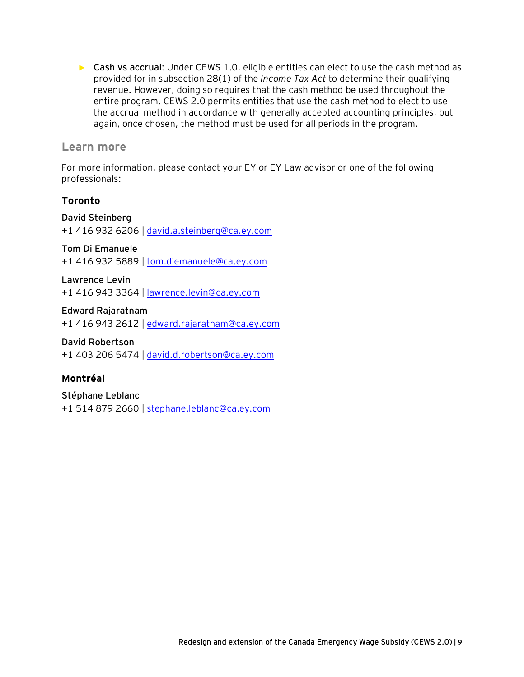► **Cash vs accrual**: Under CEWS 1.0, eligible entities can elect to use the cash method as provided for in subsection 28(1) of the *Income Tax Act* to determine their qualifying revenue. However, doing so requires that the cash method be used throughout the entire program. CEWS 2.0 permits entities that use the cash method to elect to use the accrual method in accordance with generally accepted accounting principles, but again, once chosen, the method must be used for all periods in the program.

## **Learn more**

For more information, please contact your EY or EY Law advisor or one of the following professionals:

# **Toronto**

## **David Steinberg**

+1 416 932 6206 | [david.a.steinberg@ca.ey.com](mailto:david.a.steinberg@ca.ey.com)

#### **Tom Di Emanuele**

+1 416 932 5889 | [tom.diemanuele@ca.ey.com](mailto:tom.diemanuele@ca.ey.com)

**Lawrence Levin**

+1 416 943 3364 | [lawrence.levin@ca.ey.com](mailto:lawrence.levin@ca.ey.com)

**Edward Rajaratnam** +1 416 943 2612 | [edward.rajaratnam@ca.ey.com](mailto:edward.rajaratnam@ca.ey.com)

**David Robertson** +1 403 206 5474 | [david.d.robertson@ca.ey.com](mailto:david.d.robertson@ca.ey.com)

# **Montréal**

**Stéphane Leblanc** +1 514 879 2660 | [stephane.leblanc@ca.ey.com](mailto:stephane.leblanc@ca.ey.com)